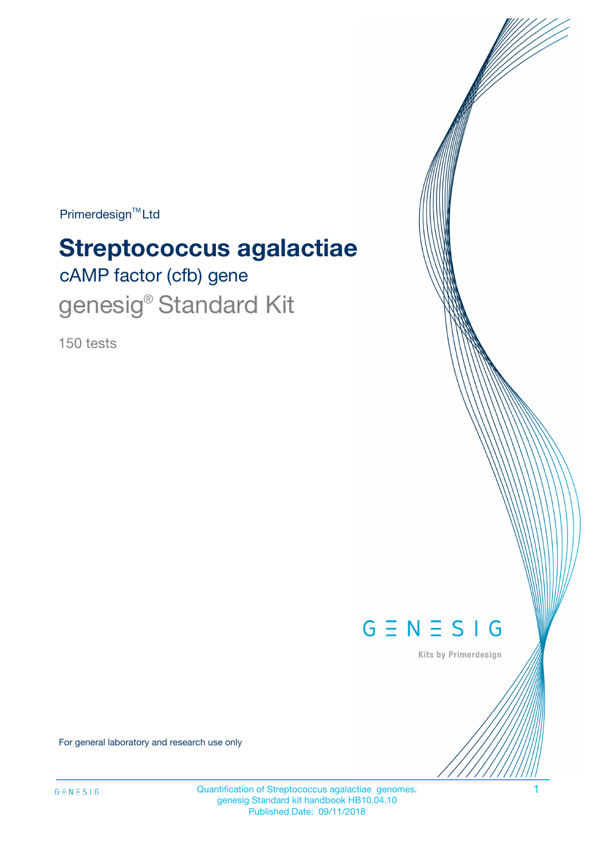Primerdesign<sup>™</sup>Ltd

# **Streptococcus agalactiae**

cAMP factor (cfb) gene genesig<sup>®</sup> Standard Kit

150 tests



Kits by Primerdesign

For general laboratory and research use only

Quantification of Streptococcus agalactiae genomes. 1 genesig Standard kit handbook HB10.04.10 Published Date: 09/11/2018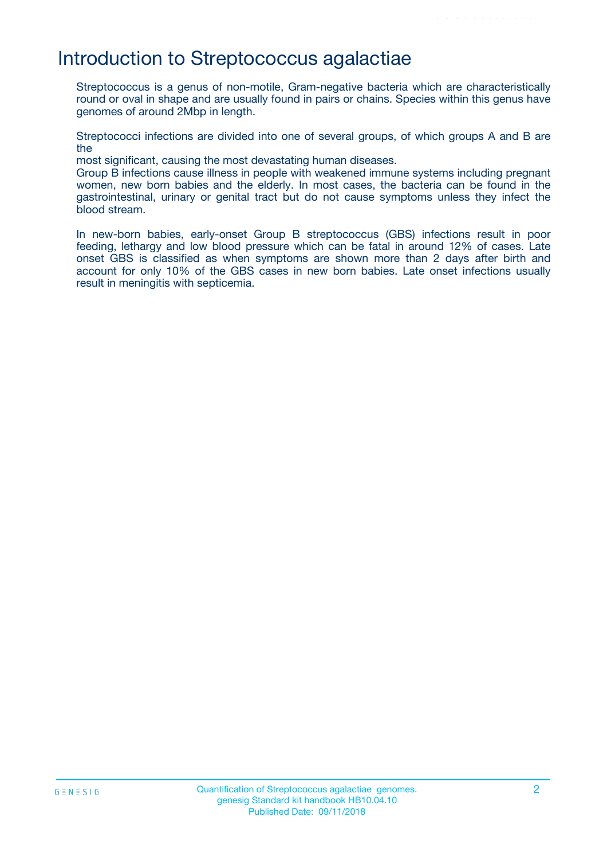### Introduction to Streptococcus agalactiae

Streptococcus is a genus of non-motile, Gram-negative bacteria which are characteristically round or oval in shape and are usually found in pairs or chains. Species within this genus have genomes of around 2Mbp in length.

Streptococci infections are divided into one of several groups, of which groups A and B are the

most significant, causing the most devastating human diseases.

Group B infections cause illness in people with weakened immune systems including pregnant women, new born babies and the elderly. In most cases, the bacteria can be found in the gastrointestinal, urinary or genital tract but do not cause symptoms unless they infect the blood stream.

In new-born babies, early-onset Group B streptococcus (GBS) infections result in poor feeding, lethargy and low blood pressure which can be fatal in around 12% of cases. Late onset GBS is classified as when symptoms are shown more than 2 days after birth and account for only 10% of the GBS cases in new born babies. Late onset infections usually result in meningitis with septicemia.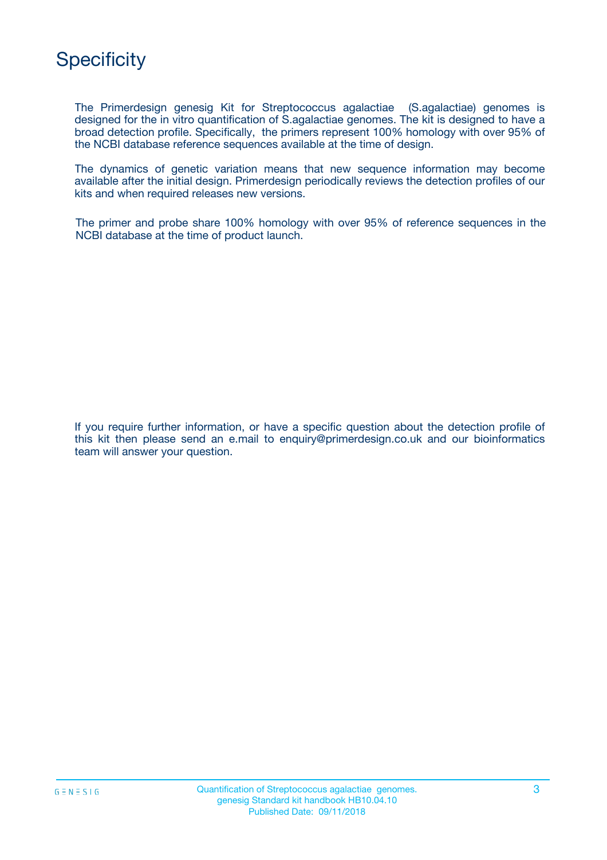

The Primerdesign genesig Kit for Streptococcus agalactiae (S.agalactiae) genomes is designed for the in vitro quantification of S.agalactiae genomes. The kit is designed to have a broad detection profile. Specifically, the primers represent 100% homology with over 95% of the NCBI database reference sequences available at the time of design.

The dynamics of genetic variation means that new sequence information may become available after the initial design. Primerdesign periodically reviews the detection profiles of our kits and when required releases new versions.

The primer and probe share 100% homology with over 95% of reference sequences in the NCBI database at the time of product launch.

If you require further information, or have a specific question about the detection profile of this kit then please send an e.mail to enquiry@primerdesign.co.uk and our bioinformatics team will answer your question.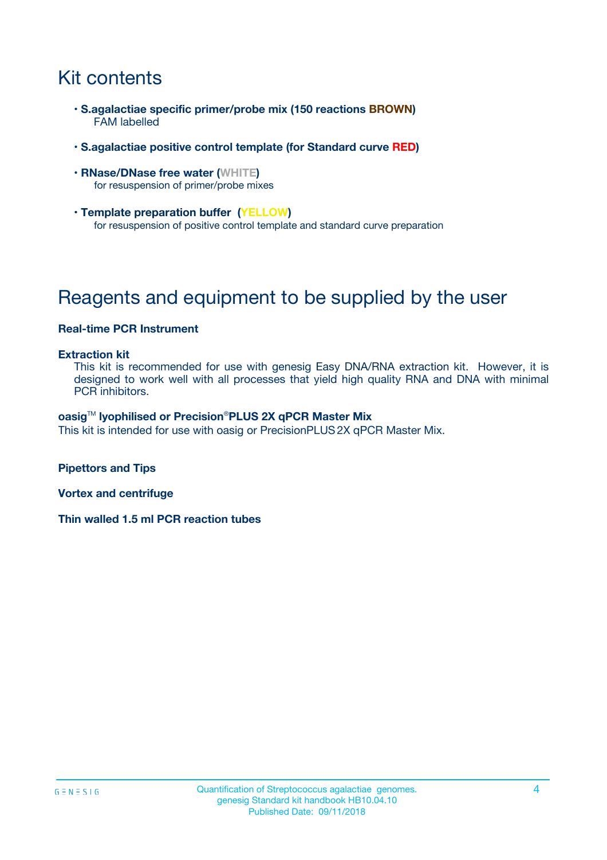# Kit contents

- **S.agalactiae specific primer/probe mix (150 reactions BROWN)** FAM labelled
- **S.agalactiae positive control template (for Standard curve RED)**
- **RNase/DNase free water (WHITE)** for resuspension of primer/probe mixes
- **Template preparation buffer (YELLOW)** for resuspension of positive control template and standard curve preparation

# Reagents and equipment to be supplied by the user

#### **Real-time PCR Instrument**

#### **Extraction kit**

This kit is recommended for use with genesig Easy DNA/RNA extraction kit. However, it is designed to work well with all processes that yield high quality RNA and DNA with minimal PCR inhibitors.

#### **oasig**TM **lyophilised or Precision**®**PLUS 2X qPCR Master Mix**

This kit is intended for use with oasig or PrecisionPLUS2X qPCR Master Mix.

**Pipettors and Tips**

**Vortex and centrifuge**

**Thin walled 1.5 ml PCR reaction tubes**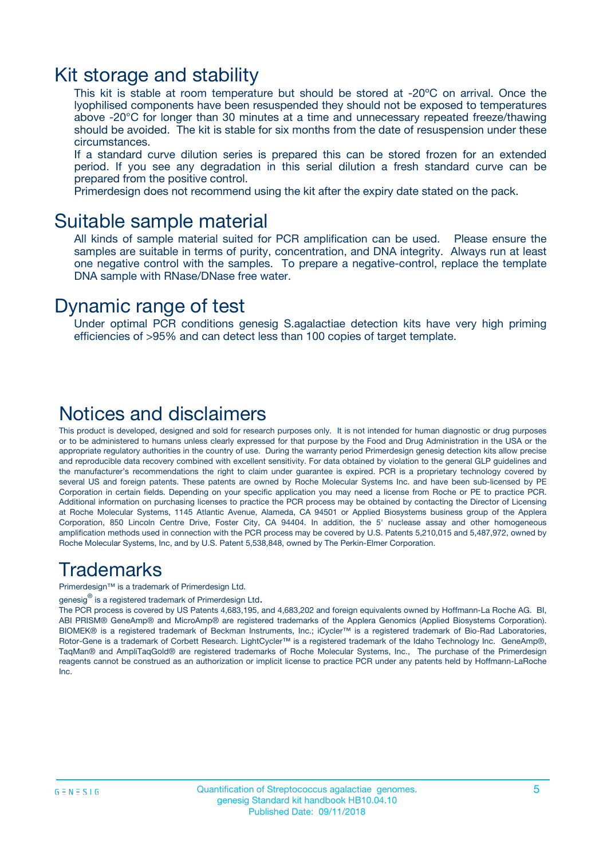### Kit storage and stability

This kit is stable at room temperature but should be stored at -20ºC on arrival. Once the lyophilised components have been resuspended they should not be exposed to temperatures above -20°C for longer than 30 minutes at a time and unnecessary repeated freeze/thawing should be avoided. The kit is stable for six months from the date of resuspension under these circumstances.

If a standard curve dilution series is prepared this can be stored frozen for an extended period. If you see any degradation in this serial dilution a fresh standard curve can be prepared from the positive control.

Primerdesign does not recommend using the kit after the expiry date stated on the pack.

### Suitable sample material

All kinds of sample material suited for PCR amplification can be used. Please ensure the samples are suitable in terms of purity, concentration, and DNA integrity. Always run at least one negative control with the samples. To prepare a negative-control, replace the template DNA sample with RNase/DNase free water.

### Dynamic range of test

Under optimal PCR conditions genesig S.agalactiae detection kits have very high priming efficiencies of >95% and can detect less than 100 copies of target template.

### Notices and disclaimers

This product is developed, designed and sold for research purposes only. It is not intended for human diagnostic or drug purposes or to be administered to humans unless clearly expressed for that purpose by the Food and Drug Administration in the USA or the appropriate regulatory authorities in the country of use. During the warranty period Primerdesign genesig detection kits allow precise and reproducible data recovery combined with excellent sensitivity. For data obtained by violation to the general GLP guidelines and the manufacturer's recommendations the right to claim under guarantee is expired. PCR is a proprietary technology covered by several US and foreign patents. These patents are owned by Roche Molecular Systems Inc. and have been sub-licensed by PE Corporation in certain fields. Depending on your specific application you may need a license from Roche or PE to practice PCR. Additional information on purchasing licenses to practice the PCR process may be obtained by contacting the Director of Licensing at Roche Molecular Systems, 1145 Atlantic Avenue, Alameda, CA 94501 or Applied Biosystems business group of the Applera Corporation, 850 Lincoln Centre Drive, Foster City, CA 94404. In addition, the 5' nuclease assay and other homogeneous amplification methods used in connection with the PCR process may be covered by U.S. Patents 5,210,015 and 5,487,972, owned by Roche Molecular Systems, Inc, and by U.S. Patent 5,538,848, owned by The Perkin-Elmer Corporation.

### Trademarks

Primerdesign™ is a trademark of Primerdesign Ltd.

genesig $^\circledR$  is a registered trademark of Primerdesign Ltd.

The PCR process is covered by US Patents 4,683,195, and 4,683,202 and foreign equivalents owned by Hoffmann-La Roche AG. BI, ABI PRISM® GeneAmp® and MicroAmp® are registered trademarks of the Applera Genomics (Applied Biosystems Corporation). BIOMEK® is a registered trademark of Beckman Instruments, Inc.; iCycler™ is a registered trademark of Bio-Rad Laboratories, Rotor-Gene is a trademark of Corbett Research. LightCycler™ is a registered trademark of the Idaho Technology Inc. GeneAmp®, TaqMan® and AmpliTaqGold® are registered trademarks of Roche Molecular Systems, Inc., The purchase of the Primerdesign reagents cannot be construed as an authorization or implicit license to practice PCR under any patents held by Hoffmann-LaRoche Inc.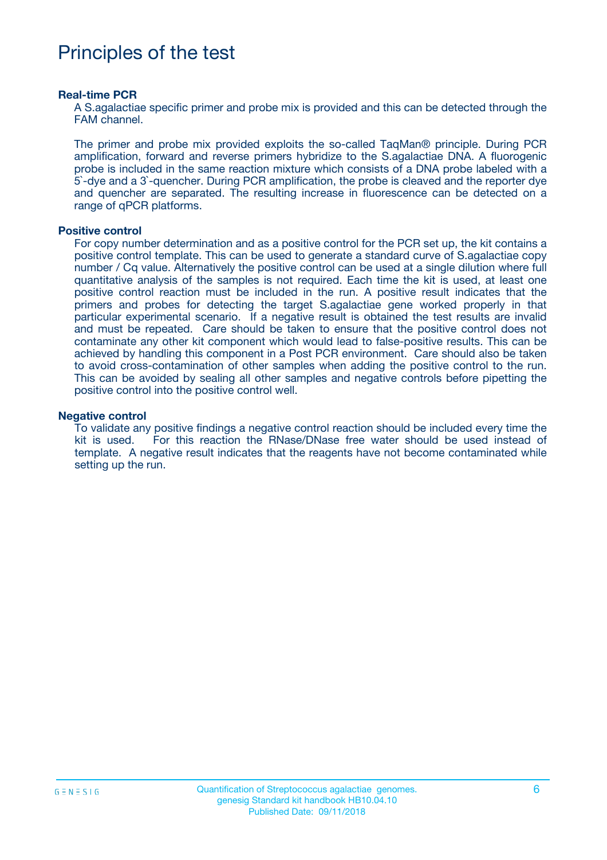# Principles of the test

#### **Real-time PCR**

A S.agalactiae specific primer and probe mix is provided and this can be detected through the FAM channel.

The primer and probe mix provided exploits the so-called TaqMan® principle. During PCR amplification, forward and reverse primers hybridize to the S.agalactiae DNA. A fluorogenic probe is included in the same reaction mixture which consists of a DNA probe labeled with a 5`-dye and a 3`-quencher. During PCR amplification, the probe is cleaved and the reporter dye and quencher are separated. The resulting increase in fluorescence can be detected on a range of qPCR platforms.

#### **Positive control**

For copy number determination and as a positive control for the PCR set up, the kit contains a positive control template. This can be used to generate a standard curve of S.agalactiae copy number / Cq value. Alternatively the positive control can be used at a single dilution where full quantitative analysis of the samples is not required. Each time the kit is used, at least one positive control reaction must be included in the run. A positive result indicates that the primers and probes for detecting the target S.agalactiae gene worked properly in that particular experimental scenario. If a negative result is obtained the test results are invalid and must be repeated. Care should be taken to ensure that the positive control does not contaminate any other kit component which would lead to false-positive results. This can be achieved by handling this component in a Post PCR environment. Care should also be taken to avoid cross-contamination of other samples when adding the positive control to the run. This can be avoided by sealing all other samples and negative controls before pipetting the positive control into the positive control well.

#### **Negative control**

To validate any positive findings a negative control reaction should be included every time the kit is used. For this reaction the RNase/DNase free water should be used instead of template. A negative result indicates that the reagents have not become contaminated while setting up the run.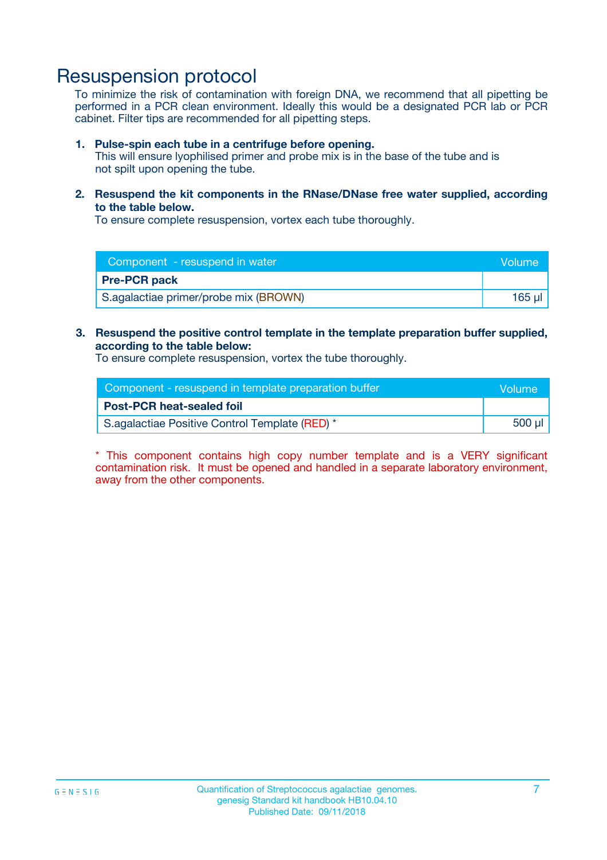## Resuspension protocol

To minimize the risk of contamination with foreign DNA, we recommend that all pipetting be performed in a PCR clean environment. Ideally this would be a designated PCR lab or PCR cabinet. Filter tips are recommended for all pipetting steps.

#### **1. Pulse-spin each tube in a centrifuge before opening.**

This will ensure lyophilised primer and probe mix is in the base of the tube and is not spilt upon opening the tube.

**2. Resuspend the kit components in the RNase/DNase free water supplied, according to the table below.**

To ensure complete resuspension, vortex each tube thoroughly.

| Component - resuspend in water        | <b>Nolume</b> |
|---------------------------------------|---------------|
| <b>Pre-PCR pack</b>                   |               |
| S.agalactiae primer/probe mix (BROWN) | 165 ul        |

### **3. Resuspend the positive control template in the template preparation buffer supplied, according to the table below:**

To ensure complete resuspension, vortex the tube thoroughly.

| Component - resuspend in template preparation buffer |        |  |
|------------------------------------------------------|--------|--|
| <b>Post-PCR heat-sealed foil</b>                     |        |  |
| S.agalactiae Positive Control Template (RED) *       | 500 µl |  |

\* This component contains high copy number template and is a VERY significant contamination risk. It must be opened and handled in a separate laboratory environment, away from the other components.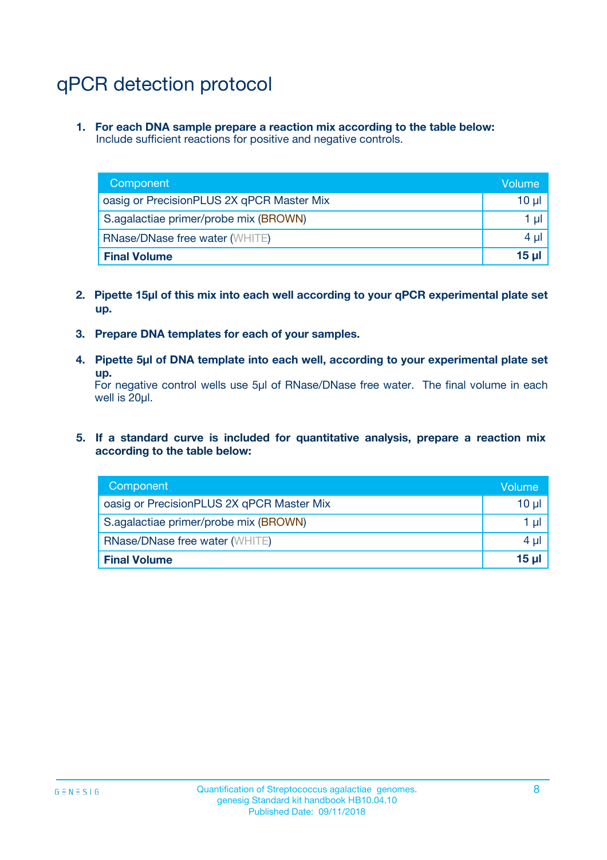# qPCR detection protocol

**1. For each DNA sample prepare a reaction mix according to the table below:** Include sufficient reactions for positive and negative controls.

| Component                                 | Volume   |
|-------------------------------------------|----------|
| oasig or PrecisionPLUS 2X qPCR Master Mix | $10 \mu$ |
| S.agalactiae primer/probe mix (BROWN)     | 1 µl     |
| <b>RNase/DNase free water (WHITE)</b>     | $4 \mu$  |
| <b>Final Volume</b>                       | 15 ul    |

- **2. Pipette 15µl of this mix into each well according to your qPCR experimental plate set up.**
- **3. Prepare DNA templates for each of your samples.**
- **4. Pipette 5µl of DNA template into each well, according to your experimental plate set up.**

For negative control wells use 5µl of RNase/DNase free water. The final volume in each well is 20µl.

**5. If a standard curve is included for quantitative analysis, prepare a reaction mix according to the table below:**

| Component                                 | Volume   |
|-------------------------------------------|----------|
| oasig or PrecisionPLUS 2X qPCR Master Mix | 10 µl    |
| S.agalactiae primer/probe mix (BROWN)     | 1 µI     |
| <b>RNase/DNase free water (WHITE)</b>     | $4 \mu$  |
| <b>Final Volume</b>                       | $15 \mu$ |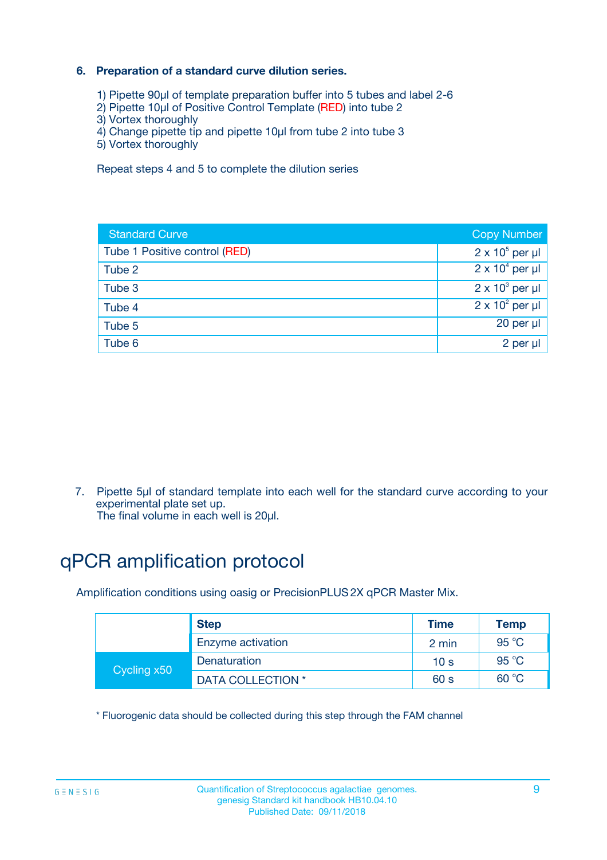### **6. Preparation of a standard curve dilution series.**

- 1) Pipette 90µl of template preparation buffer into 5 tubes and label 2-6
- 2) Pipette 10µl of Positive Control Template (RED) into tube 2
- 3) Vortex thoroughly
- 4) Change pipette tip and pipette 10µl from tube 2 into tube 3
- 5) Vortex thoroughly

Repeat steps 4 and 5 to complete the dilution series

| <b>Standard Curve</b>         | <b>Copy Number</b>     |
|-------------------------------|------------------------|
| Tube 1 Positive control (RED) | $2 \times 10^5$ per µl |
| Tube 2                        | $2 \times 10^4$ per µl |
| Tube 3                        | $2 \times 10^3$ per µl |
| Tube 4                        | $2 \times 10^2$ per µl |
| Tube 5                        | 20 per µl              |
| Tube 6                        | $2$ per $\mu$          |

7. Pipette 5µl of standard template into each well for the standard curve according to your experimental plate set up.

The final volume in each well is 20µl.

# qPCR amplification protocol

Amplification conditions using oasig or PrecisionPLUS2X qPCR Master Mix.

|             | <b>Step</b>       | <b>Time</b>     | Temp    |
|-------------|-------------------|-----------------|---------|
|             | Enzyme activation | 2 min           | 95 °C   |
| Cycling x50 | Denaturation      | 10 <sub>s</sub> | 95 $°C$ |
|             | DATA COLLECTION * | 60 s            | 60 °C   |

\* Fluorogenic data should be collected during this step through the FAM channel